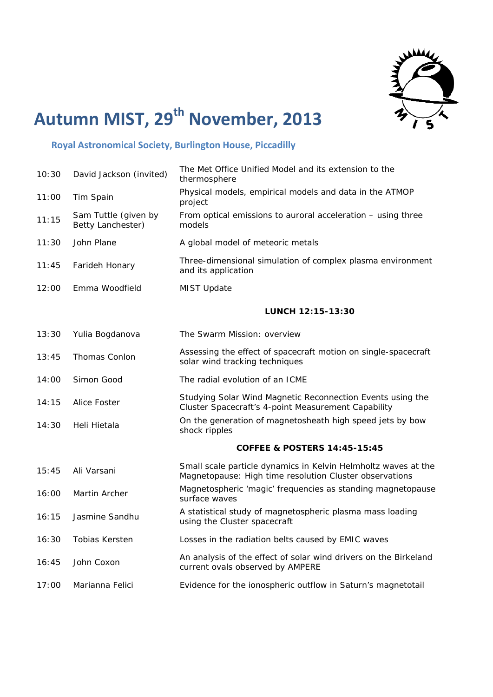

## **Autumn MIST, 29th November, 2013**

## **Royal Astronomical Society, Burlington House, Piccadilly**

| 10:30 | David Jackson (invited)                   | The Met Office Unified Model and its extension to the<br>thermosphere                                                     |
|-------|-------------------------------------------|---------------------------------------------------------------------------------------------------------------------------|
| 11:00 | Tim Spain                                 | Physical models, empirical models and data in the ATMOP<br>project                                                        |
| 11:15 | Sam Tuttle (given by<br>Betty Lanchester) | From optical emissions to auroral acceleration – using three<br>models                                                    |
| 11:30 | John Plane                                | A global model of meteoric metals                                                                                         |
| 11:45 | Farideh Honary                            | Three-dimensional simulation of complex plasma environment<br>and its application                                         |
| 12:00 | Emma Woodfield                            | <b>MIST Update</b>                                                                                                        |
|       |                                           | LUNCH 12:15-13:30                                                                                                         |
| 13:30 | Yulia Bogdanova                           | The Swarm Mission: overview                                                                                               |
| 13:45 | Thomas Conlon                             | Assessing the effect of spacecraft motion on single-spacecraft<br>solar wind tracking techniques                          |
| 14:00 | Simon Good                                | The radial evolution of an ICME                                                                                           |
| 14:15 | <b>Alice Foster</b>                       | Studying Solar Wind Magnetic Reconnection Events using the<br>Cluster Spacecraft's 4-point Measurement Capability         |
| 14:30 | Heli Hietala                              | On the generation of magnetosheath high speed jets by bow<br>shock ripples                                                |
|       |                                           | <b>COFFEE &amp; POSTERS 14:45-15:45</b>                                                                                   |
| 15:45 | Ali Varsani                               | Small scale particle dynamics in Kelvin Helmholtz waves at the<br>Magnetopause: High time resolution Cluster observations |
| 16:00 | Martin Archer                             | Magnetospheric 'magic' frequencies as standing magnetopause<br>surface waves                                              |
| 16:15 | Jasmine Sandhu                            | A statistical study of magnetospheric plasma mass loading<br>using the Cluster spacecraft                                 |
| 16:30 | <b>Tobias Kersten</b>                     | Losses in the radiation belts caused by EMIC waves                                                                        |
| 16:45 | John Coxon                                | An analysis of the effect of solar wind drivers on the Birkeland<br>current ovals observed by AMPERE                      |
| 17:00 | Marianna Felici                           | Evidence for the ionospheric outflow in Saturn's magnetotail                                                              |